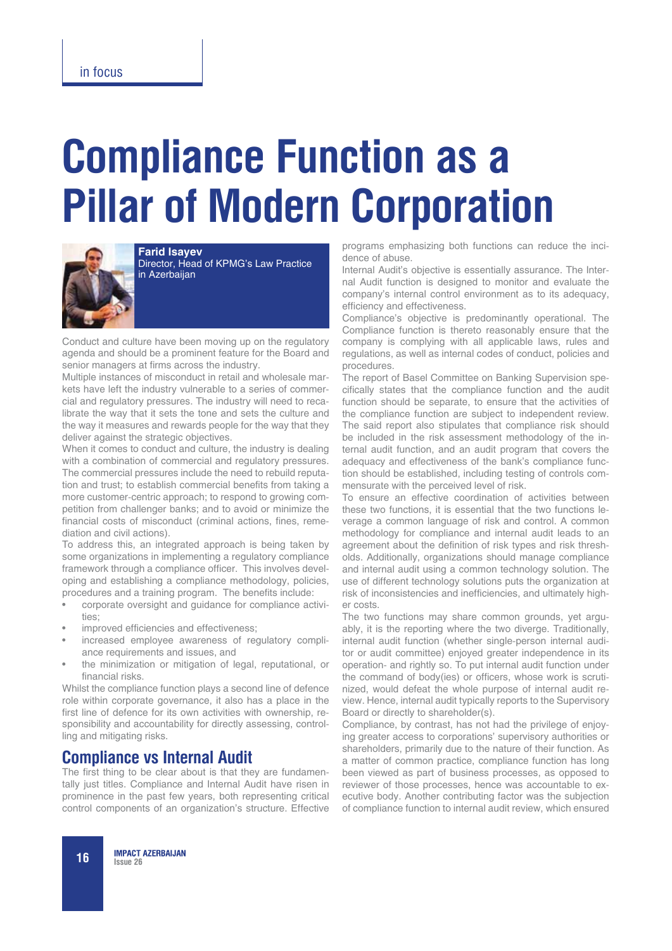# **Compliance Function as a Pillar of Modern Corporation**



**Farid Isayev** Director, Head of KPMG's Law Practice in Azerbaijan

Conduct and culture have been moving up on the regulatory agenda and should be a prominent feature for the Board and senior managers at firms across the industry.

Multiple instances of misconduct in retail and wholesale markets have left the industry vulnerable to a series of commercial and regulatory pressures. The industry will need to recalibrate the way that it sets the tone and sets the culture and the way it measures and rewards people for the way that they deliver against the strategic objectives.

When it comes to conduct and culture, the industry is dealing with a combination of commercial and regulatory pressures. The commercial pressures include the need to rebuild reputation and trust; to establish commercial benefits from taking a more customer-centric approach; to respond to growing competition from challenger banks; and to avoid or minimize the financial costs of misconduct (criminal actions, fines, remediation and civil actions).

To address this, an integrated approach is being taken by some organizations in implementing a regulatory compliance framework through a compliance officer. This involves developing and establishing a compliance methodology, policies, procedures and a training program. The benefits include:

- corporate oversight and guidance for compliance activities;
- improved efficiencies and effectiveness;
- increased employee awareness of regulatory compliance requirements and issues, and
- the minimization or mitigation of legal, reputational, or financial risks.

Whilst the compliance function plays a second line of defence role within corporate governance, it also has a place in the first line of defence for its own activities with ownership, responsibility and accountability for directly assessing, controlling and mitigating risks.

### **Compliance vs Internal Audit**

The first thing to be clear about is that they are fundamentally just titles. Compliance and Internal Audit have risen in prominence in the past few years, both representing critical control components of an organization's structure. Effective programs emphasizing both functions can reduce the incidence of abuse.

Internal Audit's objective is essentially assurance. The Internal Audit function is designed to monitor and evaluate the company's internal control environment as to its adequacy, efficiency and effectiveness.

Compliance's objective is predominantly operational. The Compliance function is thereto reasonably ensure that the company is complying with all applicable laws, rules and regulations, as well as internal codes of conduct, policies and procedures.

The report of Basel Committee on Banking Supervision specifically states that the compliance function and the audit function should be separate, to ensure that the activities of the compliance function are subject to independent review. The said report also stipulates that compliance risk should be included in the risk assessment methodology of the internal audit function, and an audit program that covers the adequacy and effectiveness of the bank's compliance function should be established, including testing of controls commensurate with the perceived level of risk.

To ensure an effective coordination of activities between these two functions, it is essential that the two functions leverage a common language of risk and control. A common methodology for compliance and internal audit leads to an agreement about the definition of risk types and risk thresholds. Additionally, organizations should manage compliance and internal audit using a common technology solution. The use of different technology solutions puts the organization at risk of inconsistencies and inefficiencies, and ultimately higher costs.

The two functions may share common grounds, yet arguably, it is the reporting where the two diverge. Traditionally, internal audit function (whether single-person internal auditor or audit committee) enjoyed greater independence in its operation- and rightly so. To put internal audit function under the command of body(ies) or officers, whose work is scrutinized, would defeat the whole purpose of internal audit review. Hence, internal audit typically reports to the Supervisory Board or directly to shareholder(s).

Compliance, by contrast, has not had the privilege of enjoying greater access to corporations' supervisory authorities or shareholders, primarily due to the nature of their function. As a matter of common practice, compliance function has long been viewed as part of business processes, as opposed to reviewer of those processes, hence was accountable to executive body. Another contributing factor was the subjection of compliance function to internal audit review, which ensured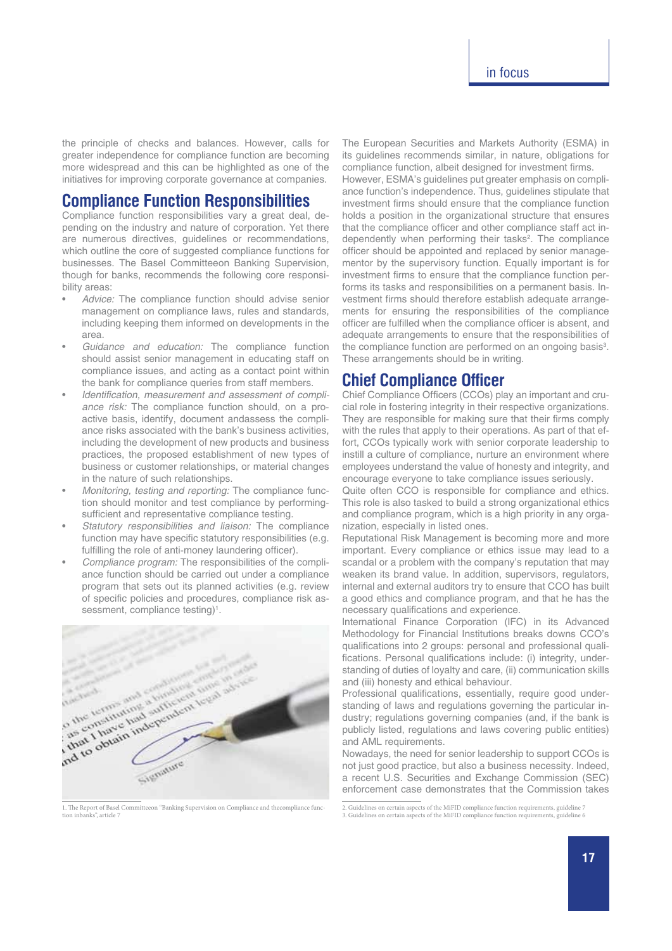the principle of checks and balances. However, calls for greater independence for compliance function are becoming more widespread and this can be highlighted as one of the initiatives for improving corporate governance at companies.

#### **Compliance Function Responsibilities**

Compliance function responsibilities vary a great deal, depending on the industry and nature of corporation. Yet there are numerous directives, guidelines or recommendations, which outline the core of suggested compliance functions for businesses. The Basel Committeeon Banking Supervision, though for banks, recommends the following core responsibility areas:

- Advice: The compliance function should advise senior management on compliance laws, rules and standards, including keeping them informed on developments in the area.
- Guidance and education: The compliance function should assist senior management in educating staff on compliance issues, and acting as a contact point within the bank for compliance queries from staff members.
- Identification, measurement and assessment of compliance risk: The compliance function should, on a proactive basis, identify, document andassess the compliance risks associated with the bank's business activities, including the development of new products and business practices, the proposed establishment of new types of business or customer relationships, or material changes in the nature of such relationships.
- Monitoring, testing and reporting: The compliance function should monitor and test compliance by performingsufficient and representative compliance testing.
- Statutory responsibilities and liaison: The compliance function may have specific statutory responsibilities (e.g. fulfilling the role of anti-money laundering officer).
- Compliance program: The responsibilities of the compliance function should be carried out under a compliance program that sets out its planned activities (e.g. review of specific policies and procedures, compliance risk assessment, compliance testing)<sup>1</sup>.



1. The Report of Basel Committeeon "Banking Supervision on Compliance and thecompliance function inbanks" article 7

The European Securities and Markets Authority (ESMA) in its guidelines recommends similar, in nature, obligations for compliance function, albeit designed for investment firms.

However, ESMA's guidelines put greater emphasis on compliance function's independence. Thus, guidelines stipulate that investment firms should ensure that the compliance function holds a position in the organizational structure that ensures that the compliance officer and other compliance staff act independently when performing their tasks<sup>2</sup>. The compliance officer should be appointed and replaced by senior managementor by the supervisory function. Equally important is for investment firms to ensure that the compliance function performs its tasks and responsibilities on a permanent basis. Investment firms should therefore establish adequate arrangements for ensuring the responsibilities of the compliance officer are fulfilled when the compliance officer is absent, and adequate arrangements to ensure that the responsibilities of the compliance function are performed on an ongoing basis<sup>3</sup>. These arrangements should be in writing.

## **Chief Compliance Officer**

Chief Compliance Officers (CCOs) play an important and crucial role in fostering integrity in their respective organizations. They are responsible for making sure that their firms comply with the rules that apply to their operations. As part of that effort, CCOs typically work with senior corporate leadership to instill a culture of compliance, nurture an environment where employees understand the value of honesty and integrity, and encourage everyone to take compliance issues seriously.

Quite often CCO is responsible for compliance and ethics. This role is also tasked to build a strong organizational ethics and compliance program, which is a high priority in any organization, especially in listed ones.

Reputational Risk Management is becoming more and more important. Every compliance or ethics issue may lead to a scandal or a problem with the company's reputation that may weaken its brand value. In addition, supervisors, regulators, internal and external auditors try to ensure that CCO has built a good ethics and compliance program, and that he has the necessary qualifications and experience.

International Finance Corporation (IFC) in its Advanced Methodology for Financial Institutions breaks downs CCO's qualifications into 2 groups: personal and professional qualifications. Personal qualifications include: (i) integrity, understanding of duties of loyalty and care, (ii) communication skills and (iii) honesty and ethical behaviour.

Professional qualifications, essentially, require good understanding of laws and regulations governing the particular industry; regulations governing companies (and, if the bank is publicly listed, regulations and laws covering public entities) and AML requirements.

Nowadays, the need for senior leadership to support CCOs is not just good practice, but also a business necessity. Indeed, a recent U.S. Securities and Exchange Commission (SEC) enforcement case demonstrates that the Commission takes

<sup>2.</sup> Guidelines on certain aspects of the MiFID compliance function requirements, guideline 7

<sup>3.</sup> Guidelines on certain aspects of the MiFID compliance function requirements, guideline 6